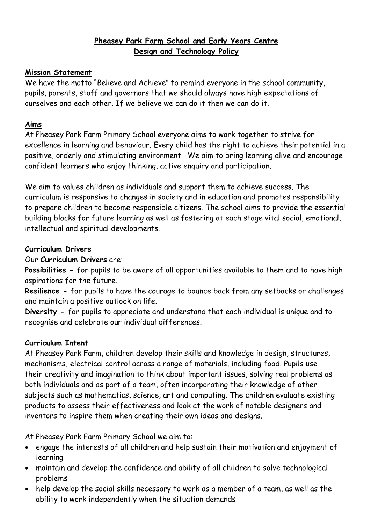### **Pheasey Park Farm School and Early Years Centre Design and Technology Policy**

#### **Mission Statement**

We have the motto "Believe and Achieve" to remind everyone in the school community, pupils, parents, staff and governors that we should always have high expectations of ourselves and each other. If we believe we can do it then we can do it.

#### **Aims**

At Pheasey Park Farm Primary School everyone aims to work together to strive for excellence in learning and behaviour. Every child has the right to achieve their potential in a positive, orderly and stimulating environment. We aim to bring learning alive and encourage confident learners who enjoy thinking, active enquiry and participation.

We aim to values children as individuals and support them to achieve success. The curriculum is responsive to changes in society and in education and promotes responsibility to prepare children to become responsible citizens. The school aims to provide the essential building blocks for future learning as well as fostering at each stage vital social, emotional, intellectual and spiritual developments.

#### **Curriculum Drivers**

Our **Curriculum Drivers** are:

**Possibilities -** for pupils to be aware of all opportunities available to them and to have high aspirations for the future.

**Resilience -** for pupils to have the courage to bounce back from any setbacks or challenges and maintain a positive outlook on life.

**Diversity -** for pupils to appreciate and understand that each individual is unique and to recognise and celebrate our individual differences.

#### **Curriculum Intent**

At Pheasey Park Farm, children develop their skills and knowledge in design, structures, mechanisms, electrical control across a range of materials, including food. Pupils use their creativity and imagination to think about important issues, solving real problems as both individuals and as part of a team, often incorporating their knowledge of other subjects such as mathematics, science, art and computing. The children evaluate existing products to assess their effectiveness and look at the work of notable designers and inventors to inspire them when creating their own ideas and designs.

At Pheasey Park Farm Primary School we aim to:

- engage the interests of all children and help sustain their motivation and enjoyment of learning
- maintain and develop the confidence and ability of all children to solve technological problems
- help develop the social skills necessary to work as a member of a team, as well as the ability to work independently when the situation demands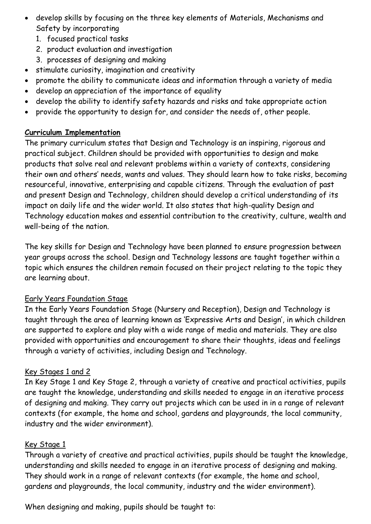- develop skills by focusing on the three key elements of Materials, Mechanisms and Safety by incorporating
	- 1. focused practical tasks
	- 2. product evaluation and investigation
	- 3. processes of designing and making
- stimulate curiosity, imagination and creativity
- promote the ability to communicate ideas and information through a variety of media
- develop an appreciation of the importance of equality
- develop the ability to identify safety hazards and risks and take appropriate action
- provide the opportunity to design for, and consider the needs of, other people.

### **Curriculum Implementation**

The primary curriculum states that Design and Technology is an inspiring, rigorous and practical subject. Children should be provided with opportunities to design and make products that solve real and relevant problems within a variety of contexts, considering their own and others' needs, wants and values. They should learn how to take risks, becoming resourceful, innovative, enterprising and capable citizens. Through the evaluation of past and present Design and Technology, children should develop a critical understanding of its impact on daily life and the wider world. It also states that high-quality Design and Technology education makes and essential contribution to the creativity, culture, wealth and well-being of the nation.

The key skills for Design and Technology have been planned to ensure progression between year groups across the school. Design and Technology lessons are taught together within a topic which ensures the children remain focused on their project relating to the topic they are learning about.

# Early Years Foundation Stage

In the Early Years Foundation Stage (Nursery and Reception), Design and Technology is taught through the area of learning known as 'Expressive Arts and Design', in which children are supported to explore and play with a wide range of media and materials. They are also provided with opportunities and encouragement to share their thoughts, ideas and feelings through a variety of activities, including Design and Technology.

# Key Stages 1 and 2

In Key Stage 1 and Key Stage 2, through a variety of creative and practical activities, pupils are taught the knowledge, understanding and skills needed to engage in an iterative process of designing and making. They carry out projects which can be used in in a range of relevant contexts (for example, the home and school, gardens and playgrounds, the local community, industry and the wider environment).

# Key Stage 1

Through a variety of creative and practical activities, pupils should be taught the knowledge, understanding and skills needed to engage in an iterative process of designing and making. They should work in a range of relevant contexts (for example, the home and school, gardens and playgrounds, the local community, industry and the wider environment).

When designing and making, pupils should be taught to: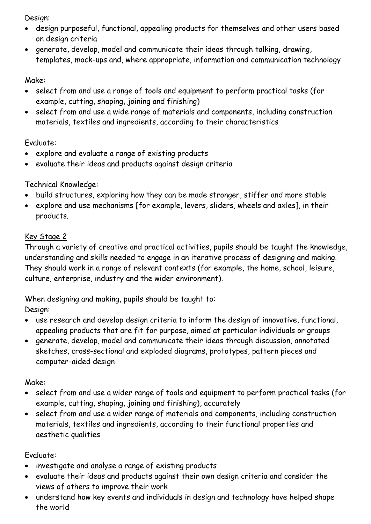Design:

- design purposeful, functional, appealing products for themselves and other users based on design criteria
- generate, develop, model and communicate their ideas through talking, drawing, templates, mock-ups and, where appropriate, information and communication technology

### Make:

- select from and use a range of tools and equipment to perform practical tasks (for example, cutting, shaping, joining and finishing)
- select from and use a wide range of materials and components, including construction materials, textiles and ingredients, according to their characteristics

### Evaluate:

- explore and evaluate a range of existing products
- evaluate their ideas and products against design criteria

Technical Knowledge:

- build structures, exploring how they can be made stronger, stiffer and more stable
- explore and use mechanisms [for example, levers, sliders, wheels and axles], in their products.

# Key Stage 2

Through a variety of creative and practical activities, pupils should be taught the knowledge, understanding and skills needed to engage in an iterative process of designing and making. They should work in a range of relevant contexts (for example, the home, school, leisure, culture, enterprise, industry and the wider environment).

When designing and making, pupils should be taught to:

Design:

- use research and develop design criteria to inform the design of innovative, functional, appealing products that are fit for purpose, aimed at particular individuals or groups
- generate, develop, model and communicate their ideas through discussion, annotated sketches, cross-sectional and exploded diagrams, prototypes, pattern pieces and computer-aided design

# Make:

- select from and use a wider range of tools and equipment to perform practical tasks (for example, cutting, shaping, joining and finishing), accurately
- select from and use a wider range of materials and components, including construction materials, textiles and ingredients, according to their functional properties and aesthetic qualities

# Evaluate:

- investigate and analyse a range of existing products
- evaluate their ideas and products against their own design criteria and consider the views of others to improve their work
- understand how key events and individuals in design and technology have helped shape the world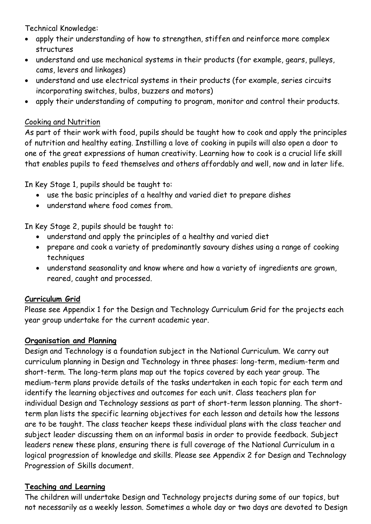Technical Knowledge:

- apply their understanding of how to strengthen, stiffen and reinforce more complex structures
- understand and use mechanical systems in their products (for example, gears, pulleys, cams, levers and linkages)
- understand and use electrical systems in their products (for example, series circuits incorporating switches, bulbs, buzzers and motors)
- apply their understanding of computing to program, monitor and control their products.

### Cooking and Nutrition

As part of their work with food, pupils should be taught how to cook and apply the principles of nutrition and healthy eating. Instilling a love of cooking in pupils will also open a door to one of the great expressions of human creativity. Learning how to cook is a crucial life skill that enables pupils to feed themselves and others affordably and well, now and in later life.

In Key Stage 1, pupils should be taught to:

- use the basic principles of a healthy and varied diet to prepare dishes
- understand where food comes from.

In Key Stage 2, pupils should be taught to:

- understand and apply the principles of a healthy and varied diet
- prepare and cook a variety of predominantly savoury dishes using a range of cooking techniques
- understand seasonality and know where and how a variety of ingredients are grown, reared, caught and processed.

### **Curriculum Grid**

Please see Appendix 1 for the Design and Technology Curriculum Grid for the projects each year group undertake for the current academic year.

### **Organisation and Planning**

Design and Technology is a foundation subject in the National Curriculum. We carry out curriculum planning in Design and Technology in three phases: long-term, medium-term and short-term. The long-term plans map out the topics covered by each year group. The medium-term plans provide details of the tasks undertaken in each topic for each term and identify the learning objectives and outcomes for each unit. Class teachers plan for individual Design and Technology sessions as part of short-term lesson planning. The shortterm plan lists the specific learning objectives for each lesson and details how the lessons are to be taught. The class teacher keeps these individual plans with the class teacher and subject leader discussing them on an informal basis in order to provide feedback. Subject leaders renew these plans, ensuring there is full coverage of the National Curriculum in a logical progression of knowledge and skills. Please see Appendix 2 for Design and Technology Progression of Skills document.

### **Teaching and Learning**

The children will undertake Design and Technology projects during some of our topics, but not necessarily as a weekly lesson. Sometimes a whole day or two days are devoted to Design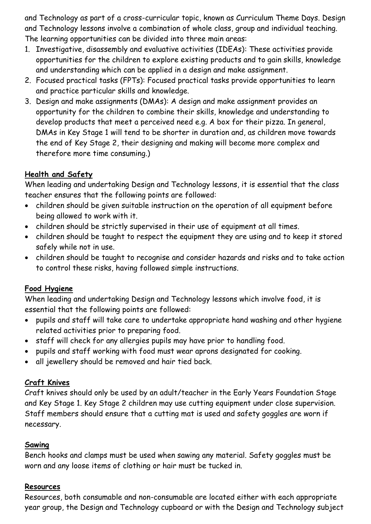and Technology as part of a cross-curricular topic, known as Curriculum Theme Days. Design and Technology lessons involve a combination of whole class, group and individual teaching. The learning opportunities can be divided into three main areas:

- 1. Investigative, disassembly and evaluative activities (IDEAs): These activities provide opportunities for the children to explore existing products and to gain skills, knowledge and understanding which can be applied in a design and make assignment.
- 2. Focused practical tasks (FPTs): Focused practical tasks provide opportunities to learn and practice particular skills and knowledge.
- 3. Design and make assignments (DMAs): A design and make assignment provides an opportunity for the children to combine their skills, knowledge and understanding to develop products that meet a perceived need e.g. A box for their pizza. In general, DMAs in Key Stage 1 will tend to be shorter in duration and, as children move towards the end of Key Stage 2, their designing and making will become more complex and therefore more time consuming.)

### **Health and Safety**

When leading and undertaking Design and Technology lessons, it is essential that the class teacher ensures that the following points are followed:

- children should be given suitable instruction on the operation of all equipment before being allowed to work with it.
- children should be strictly supervised in their use of equipment at all times.
- children should be taught to respect the equipment they are using and to keep it stored safely while not in use.
- children should be taught to recognise and consider hazards and risks and to take action to control these risks, having followed simple instructions.

# **Food Hygiene**

When leading and undertaking Design and Technology lessons which involve food, it is essential that the following points are followed:

- pupils and staff will take care to undertake appropriate hand washing and other hygiene related activities prior to preparing food.
- staff will check for any allergies pupils may have prior to handling food.
- pupils and staff working with food must wear aprons designated for cooking.
- all jewellery should be removed and hair tied back.

# **Craft Knives**

Craft knives should only be used by an adult/teacher in the Early Years Foundation Stage and Key Stage 1. Key Stage 2 children may use cutting equipment under close supervision. Staff members should ensure that a cutting mat is used and safety goggles are worn if necessary.

### **Sawing**

Bench hooks and clamps must be used when sawing any material. Safety goggles must be worn and any loose items of clothing or hair must be tucked in.

### **Resources**

Resources, both consumable and non-consumable are located either with each appropriate year group, the Design and Technology cupboard or with the Design and Technology subject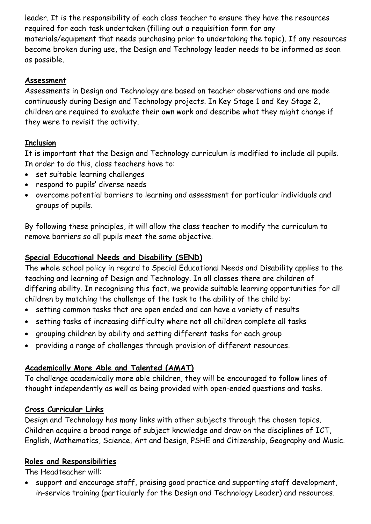leader. It is the responsibility of each class teacher to ensure they have the resources required for each task undertaken (filling out a requisition form for any materials/equipment that needs purchasing prior to undertaking the topic). If any resources become broken during use, the Design and Technology leader needs to be informed as soon as possible.

### **Assessment**

Assessments in Design and Technology are based on teacher observations and are made continuously during Design and Technology projects. In Key Stage 1 and Key Stage 2, children are required to evaluate their own work and describe what they might change if they were to revisit the activity.

### **Inclusion**

It is important that the Design and Technology curriculum is modified to include all pupils. In order to do this, class teachers have to:

- set suitable learning challenges
- respond to pupils' diverse needs
- overcome potential barriers to learning and assessment for particular individuals and groups of pupils.

By following these principles, it will allow the class teacher to modify the curriculum to remove barriers so all pupils meet the same objective.

### **Special Educational Needs and Disability (SEND)**

The whole school policy in regard to Special Educational Needs and Disability applies to the teaching and learning of Design and Technology. In all classes there are children of differing ability. In recognising this fact, we provide suitable learning opportunities for all children by matching the challenge of the task to the ability of the child by:

- setting common tasks that are open ended and can have a variety of results
- setting tasks of increasing difficulty where not all children complete all tasks
- grouping children by ability and setting different tasks for each group
- providing a range of challenges through provision of different resources.

# **Academically More Able and Talented (AMAT)**

To challenge academically more able children, they will be encouraged to follow lines of thought independently as well as being provided with open-ended questions and tasks.

### **Cross Curricular Links**

Design and Technology has many links with other subjects through the chosen topics. Children acquire a broad range of subject knowledge and draw on the disciplines of ICT, English, Mathematics, Science, Art and Design, PSHE and Citizenship, Geography and Music.

# **Roles and Responsibilities**

The Headteacher will:

 support and encourage staff, praising good practice and supporting staff development, in-service training (particularly for the Design and Technology Leader) and resources.